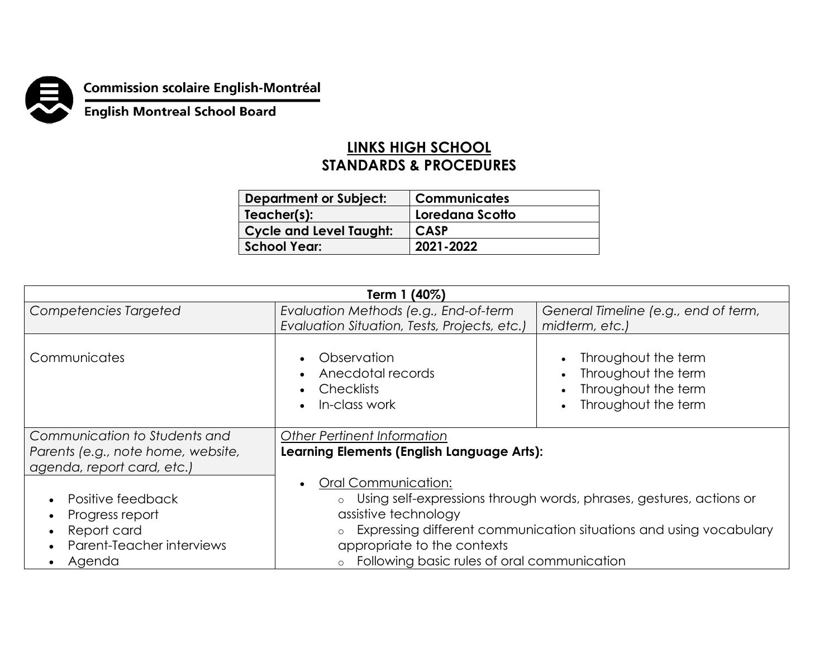

## **Commission scolaire English-Montréal<br>English Montreal School Board**

## **LINKS HIGH SCHOOL STANDARDS & PROCEDURES**

| <b>Department or Subject:</b>  | <b>Communicates</b> |
|--------------------------------|---------------------|
| Teacher(s):                    | Loredana Scotto     |
| <b>Cycle and Level Taught:</b> | <b>CASP</b>         |
| School Year:                   | 2021-2022           |

| Term 1 (40%)                                                                                            |                                                                                                                                                                                                                                                                        |                                                                                                       |  |  |
|---------------------------------------------------------------------------------------------------------|------------------------------------------------------------------------------------------------------------------------------------------------------------------------------------------------------------------------------------------------------------------------|-------------------------------------------------------------------------------------------------------|--|--|
| Competencies Targeted                                                                                   | Evaluation Methods (e.g., End-of-term<br>Evaluation Situation, Tests, Projects, etc.)                                                                                                                                                                                  | General Timeline (e.g., end of term,<br>midterm, etc.)                                                |  |  |
| Communicates                                                                                            | Observation<br>Anecdotal records<br><b>Checklists</b><br>In-class work                                                                                                                                                                                                 | Throughout the term<br>$\bullet$<br>Throughout the term<br>Throughout the term<br>Throughout the term |  |  |
| Communication to Students and<br>Parents (e.g., note home, website,<br>agenda, report card, etc.)       | Other Pertinent Information<br>Learning Elements (English Language Arts):                                                                                                                                                                                              |                                                                                                       |  |  |
| Positive feedback<br>Progress report<br>Report card<br>$\bullet$<br>Parent-Teacher interviews<br>Agenda | Oral Communication:<br>Using self-expressions through words, phrases, gestures, actions or<br>assistive technology<br>Expressing different communication situations and using vocabulary<br>appropriate to the contexts<br>Following basic rules of oral communication |                                                                                                       |  |  |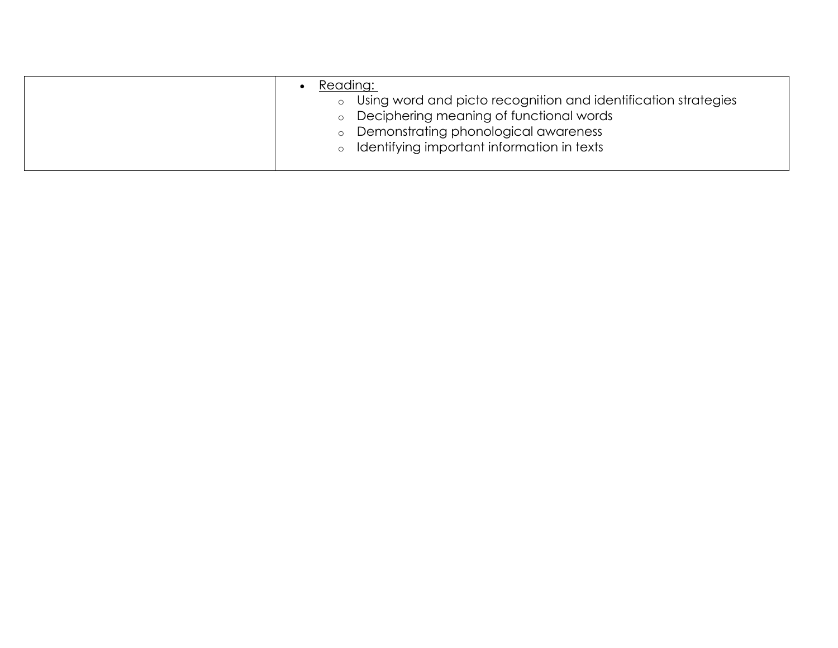| Reading:                                                                                                      |
|---------------------------------------------------------------------------------------------------------------|
| ○ Using word and picto recognition and identification strategies<br>o Deciphering meaning of functional words |
| o Demonstrating phonological awareness                                                                        |
| o Identifying important information in texts                                                                  |